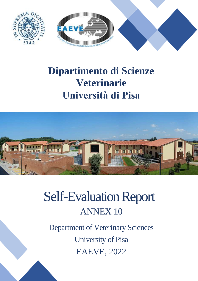

# **Dipartimento di Scienze Veterinarie Università di Pisa**

 $SU_{P}$ 



# Self-Evaluation Report ANNEX 10

Department of Veterinary Sciences University of Pisa EAEVE, 2022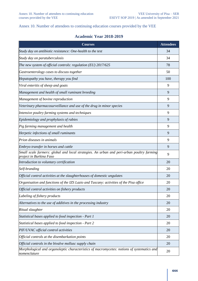#### Annex 10. Number of attendees to continuing education courses provided by the VEE

### **Academic Year 2018-2019**

| <b>Courses</b>                                                                                                       | <b>Attendees</b> |
|----------------------------------------------------------------------------------------------------------------------|------------------|
| Study day on antibiotic resistance: One-health to the test                                                           | 34               |
| Study day on paratuberculosis                                                                                        | 34               |
| The new system of official controls: regulation (EU) $2017/625$                                                      | 78               |
| Gastroenterology cases to discuss together                                                                           | 50               |
| Hepatopathy you have, therapy you find                                                                               | 100              |
| Viral enteritis of sheep and goats                                                                                   | 9                |
| Management and health of small ruminant breeding                                                                     | 9                |
| Management of bovine reproduction                                                                                    | 9                |
| Veterinary pharmacosurveillance and use of the drug in minor species                                                 | 9                |
| Intensive poultry farming systems and techniques                                                                     | 9                |
| Epidemiology and prophylaxis of rabies                                                                               | 9                |
| Pig farming management and health                                                                                    | 9                |
| Herpetic infections of small ruminants                                                                               | 9                |
| Prion diseases in animals                                                                                            | 9                |
| Embryo transfer in horses and cattle                                                                                 | 9                |
| Small scale farmers: global and local strategies. An urban and peri-urban poultry farming<br>project in Burkina Faso | 9                |
| Introduction to voluntary certification                                                                              | 20               |
| Self-branding                                                                                                        | 20               |
| Official control activities at the slaughterhouses of domestic ungulates                                             | 20               |
| Organisation and functions of the IZS Lazio and Tuscany: activities of the Pisa office                               | 20               |
| Official control activities on fishery products                                                                      | 20               |
| Labeling of fishery products                                                                                         | 20               |
| Alternatives to the use of additives in the processing industry                                                      | 20               |
| Ritual slaughter                                                                                                     | 20               |
| Statistical bases applied to food inspection - Part 1                                                                | 20               |
| Statistical bases applied to food inspection - Part 2                                                                | 20               |
| PIF/UVAC official control activities                                                                                 | 20               |
| Official controls at the disembarkation points                                                                       | 20               |
| Official controls in the bivalve mollusc supply chain                                                                | 20               |
| Morphological and organoleptic characteristics of macromycetes: notions of systematics and<br>nomenclature           | 20               |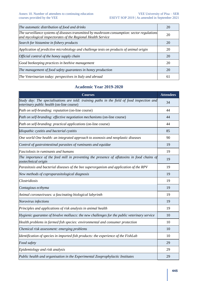| The automatic distribution of food and drinks                                                                                                                | 20 |
|--------------------------------------------------------------------------------------------------------------------------------------------------------------|----|
| The surveillance systems of diseases transmitted by mushroom consumption: sector regulations<br>and mycological inspectorates of the Regional Health Service | 20 |
| Search for histamine in fishery products                                                                                                                     | 20 |
| Application of predictive microbiology and challenge tests on products of animal origin                                                                      | 20 |
| Official control of the honey supply chain                                                                                                                   | 20 |
| Good beekeeping practices in beehive management                                                                                                              | 20 |
| The management of food safety guarantees in honey production                                                                                                 | 20 |
| The Veterinarian today: perspectives in Italy and abroad                                                                                                     | 61 |

## **Academic Year 2019-2020**

| <b>Courses</b>                                                                                                                           | <b>Attendees</b> |
|------------------------------------------------------------------------------------------------------------------------------------------|------------------|
| Study day: The specialisations are told: training paths in the field of food inspection and<br>veterinary public health (on-line course) | 34               |
| Path on self-branding: reputation (on-line course)                                                                                       | 44               |
| Path on self-branding: effective negotiation mechanisms (on-line course)                                                                 | 44               |
| Path on self-branding: practical applications (on-line course)                                                                           | 44               |
| Idiopathic cystitis and bacterial cystitis                                                                                               | 85               |
| One world One health: an integrated approach to zoonosis and neoplastic diseases                                                         | 90               |
| Control of gastrointestinal parasites of ruminants and equidae                                                                           | 19               |
| Fasciolosis in ruminants and humans                                                                                                      | 19               |
| The importance of the feed mill in preventing the presence of aflatoxins in food chains of<br>zootechnical origin                        | 19               |
| Parasitosis and bacterial diseases of the bee superorganism and application of the RPV                                                   | 19               |
| New methods of coproparasitological diagnosis                                                                                            | 19               |
| Clostridiosis                                                                                                                            | 19               |
| Contagious ecthyma                                                                                                                       | 19               |
| Animal coronaviruses: a fascinating biological labyrinth                                                                                 | 19               |
| Norovirus infections                                                                                                                     | 19               |
| Principles and applications of risk analysis in animal health                                                                            | 19               |
| Hygienic guarantee of bivalve molluscs: the new challenges for the public veterinary service                                             | 10               |
| Health problems in farmed fish species: environmental and consumer protection                                                            | 10               |
| Chemical risk assessment: emerging problems                                                                                              | 10               |
| Identification of species in imported fish products: the experience of the FishLab                                                       | 10               |
| Food safety                                                                                                                              | 29               |
| Epidemiology and risk analysis                                                                                                           | 29               |
| Public health and organisation in the Experimental Zooprophylactic Institutes                                                            | 29               |